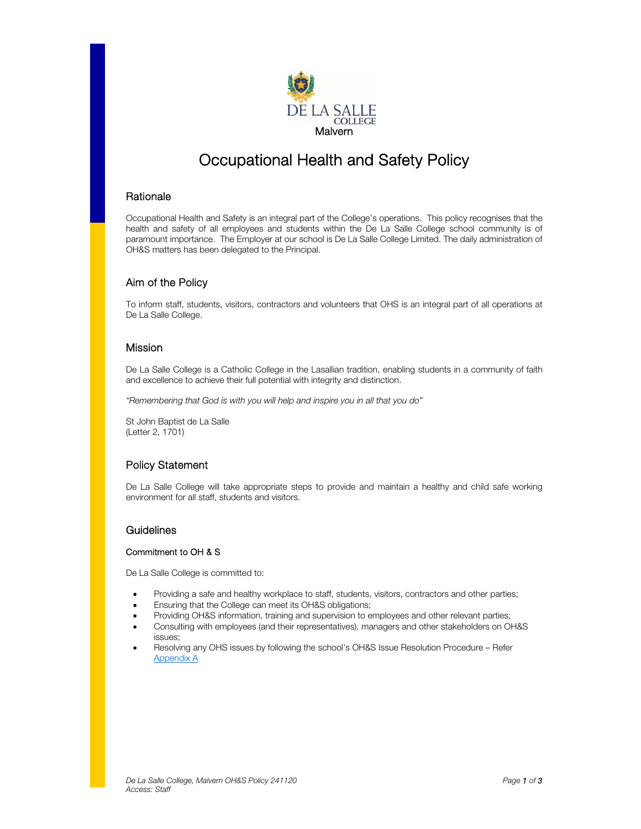

# Occupational Health and Safety Policy

## **Rationale**

Occupational Health and Safety is an integral part of the College's operations. This policy recognises that the health and safety of all employees and students within the De La Salle College school community is of paramount importance. The Employer at our school is De La Salle College Limited. The daily administration of OH&S matters has been delegated to the Principal.

# Aim of the Policy

To inform staff, students, visitors, contractors and volunteers that OHS is an integral part of all operations at De La Salle College.

## Mission

De La Salle College is a Catholic College in the Lasallian tradition, enabling students in a community of faith and excellence to achieve their full potential with integrity and distinction.

"Remembering that God is with you will help and inspire you in all that you do"

St John Baptist de La Salle (Letter 2, 1701)

# Policy Statement

De La Salle College will take appropriate steps to provide and maintain a healthy and child safe working environment for all staff, students and visitors.

## **Guidelines**

#### Commitment to OH & S

De La Salle College is committed to:

- Providing a safe and healthy workplace to staff, students, visitors, contractors and other parties;
- Ensuring that the College can meet its OH&S obligations;
- Providing OH&S information, training and supervision to employees and other relevant parties;
- Consulting with employees (and their representatives), managers and other stakeholders on OH&S issues;
- Resolving any OHS issues by following the school's OH&S Issue Resolution Procedure Refer Appendix A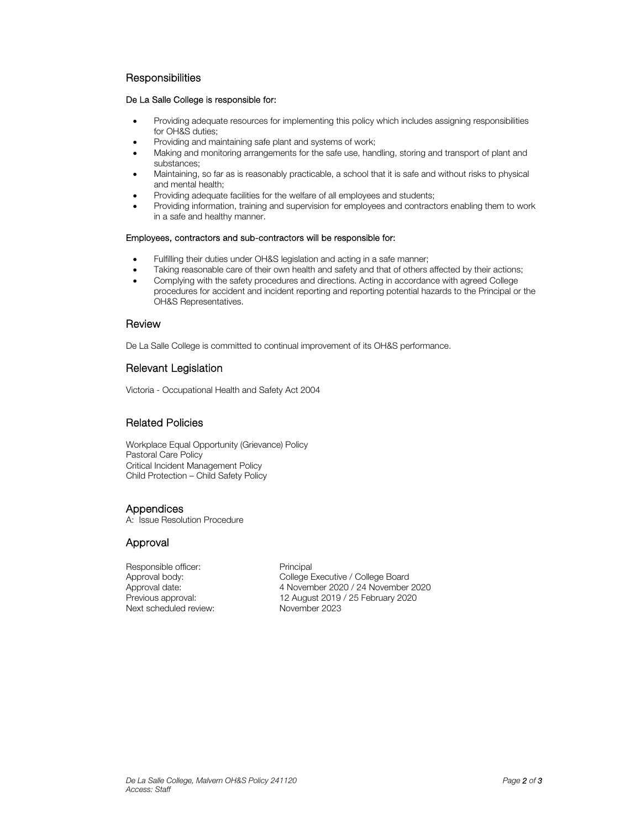## **Responsibilities**

#### De La Salle College is responsible for:

- Providing adequate resources for implementing this policy which includes assigning responsibilities for OH&S duties;
- Providing and maintaining safe plant and systems of work;
- Making and monitoring arrangements for the safe use, handling, storing and transport of plant and substances;
- Maintaining, so far as is reasonably practicable, a school that it is safe and without risks to physical and mental health;
- Providing adequate facilities for the welfare of all employees and students;
- Providing information, training and supervision for employees and contractors enabling them to work in a safe and healthy manner.

#### Employees, contractors and sub-contractors will be responsible for:

- Fulfilling their duties under OH&S legislation and acting in a safe manner;
- Taking reasonable care of their own health and safety and that of others affected by their actions;
- Complying with the safety procedures and directions. Acting in accordance with agreed College procedures for accident and incident reporting and reporting potential hazards to the Principal or the OH&S Representatives.

#### **Review**

De La Salle College is committed to continual improvement of its OH&S performance.

## Relevant Legislation

Victoria - Occupational Health and Safety Act 2004

# Related Policies

Workplace Equal Opportunity (Grievance) Policy Pastoral Care Policy Critical Incident Management Policy Child Protection – Child Safety Policy

## **Appendices**

A: Issue Resolution Procedure

# Approval

Responsible officer: Principal Next scheduled review:

Approval body: College Executive / College Board Approval date: 4 November 2020 / 24 November 2020<br>Previous approval: 12 August 2019 / 25 February 2020 12 August 2019 / 25 February 2020<br>November 2023